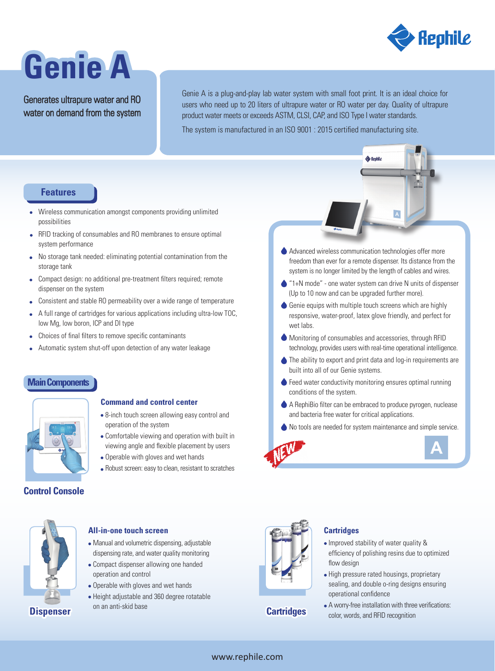

# **Genie A**

Generates ultrapure water and RO water on demand from the system Genie A is a plug-and-play lab water system with small foot print. It is an ideal choice for users who need up to 20 liters of ultrapure water or RO water per day. Quality of ultrapure product water meets or exceeds ASTM, CLSI, CAP, and ISO Type I water standards.

The system is manufactured in an ISO 9001 : 2015 certified manufacturing site.

# **Features**

- Wireless communication amongst components providing unlimited possibilities
- RFID tracking of consumables and RO membranes to ensure optimal system performance
- No storage tank needed: eliminating potential contamination from the storage tank
- Compact design: no additional pre-treatment filters required; remote dispenser on the system
- Consistent and stable RO permeability over a wide range of temperature  $\bullet$
- A full range of cartridges for various applications including ultra-low TOC,  $\bullet$ low Mg, low boron, ICP and DI type
- Choices of final filters to remove specific contaminants  $\bullet$
- Automatic system shut-off upon detection of any water leakage

## **Main Components**



# **Command and control center**

- 8-inch touch screen allowing easy control and operation of the system
- Comfortable viewing and operation with built in viewing angle and flexible placement by users
- Operable with gloves and wet hands

Manual and volumetric dispensing, adjustable dispensing rate, and water quality monitoring Compact dispenser allowing one handed

• Operable with gloves and wet hands Height adjustable and 360 degree rotatable

operation and control

**All-in-one touch screen**

on an anti-skid base

Robust screen: easy to clean, resistant to scratches

# **Control Console**



**Dispenser Cartridges** 





- Improved stability of water quality & efficiency of polishing resins due to optimized flow design
- High pressure rated housings, proprietary sealing, and double o-ring designs ensuring operational confidence
- A worry-free installation with three verifications: color, words, and RFID recognition

Advanced wireless communication technologies offer more freedom than ever for a remote dispenser. Its distance from the system is no longer limited by the length of cables and wires.

**A** Renhil

- **■** "1+N mode" one water system can drive N units of dispenser (Up to 10 now and can be upgraded further more).
- Genie equips with multiple touch screens which are highly responsive, water-proof, latex glove friendly, and perfect for wet labs.
- Monitoring of consumables and accessories, through RFID technology, provides users with real-time operational intelligence.
- The ability to export and print data and log-in requirements are built into all of our Genie systems.
- Feed water conductivity monitoring ensures optimal running conditions of the system.
- A RephiBio filter can be embraced to produce pyrogen, nuclease and bacteria free water for critical applications.
- No tools are needed for system maintenance and simple service.